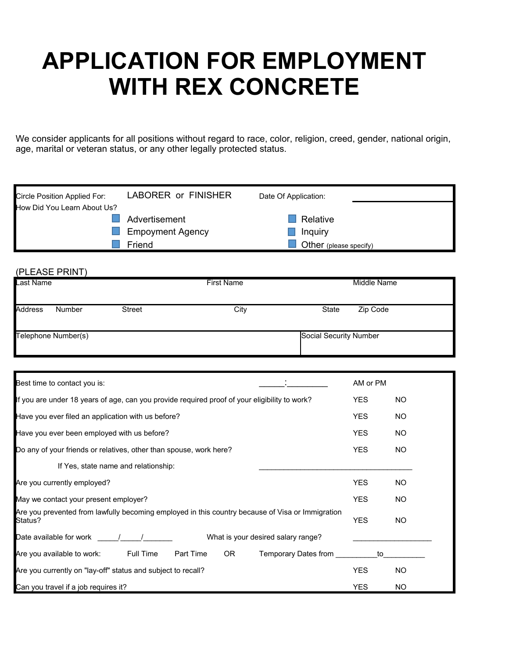# **APPLICATION FOR EMPLOYMENT WITH REX CONCRETE**

We consider applicants for all positions without regard to race, color, religion, creed, gender, national origin, age, marital or veteran status, or any other legally protected status.

| Circle Position Applied For: | LABORER or FINISHER     | Date Of Application:   |  |
|------------------------------|-------------------------|------------------------|--|
| How Did You Learn About Us?  |                         |                        |  |
|                              | Advertisement           | Relative               |  |
|                              | <b>Empoyment Agency</b> | Inquiry                |  |
|                              | Friend                  | Other (please specify) |  |

#### (PLEASE PRINT)

| Last Name           |        |                        | <b>First Name</b> | Middle Name       |
|---------------------|--------|------------------------|-------------------|-------------------|
| <b>Address</b>      | Number | <b>Street</b>          | City              | State<br>Zip Code |
| Telephone Number(s) |        | Social Security Number |                   |                   |

| Best time to contact you is:                                                                                                                          | AM or PM   |           |
|-------------------------------------------------------------------------------------------------------------------------------------------------------|------------|-----------|
| If you are under 18 years of age, can you provide required proof of your eligibility to work?                                                         | <b>YES</b> | NO.       |
| Have you ever filed an application with us before?                                                                                                    | <b>YES</b> | <b>NO</b> |
| Have you ever been employed with us before?                                                                                                           | <b>YES</b> | NO.       |
| Do any of your friends or relatives, other than spouse, work here?                                                                                    | <b>YES</b> | NO.       |
| If Yes, state name and relationship:                                                                                                                  |            |           |
| Are you currently employed?                                                                                                                           | <b>YES</b> | NO.       |
| May we contact your present employer?                                                                                                                 | <b>YES</b> | <b>NO</b> |
| Are you prevented from lawfully becoming employed in this country because of Visa or Immigration<br>Status?                                           | <b>YES</b> | <b>NO</b> |
| Date available for work and the state of the state of the state of the state of the state of the state of the s<br>What is your desired salary range? |            |           |
| <b>Full Time</b><br>Part Time<br>Are you available to work:<br>OR.<br>Temporary Dates from                                                            | to         |           |
| Are you currently on "lay-off" status and subject to recall?                                                                                          | <b>YES</b> | <b>NO</b> |
| Can you travel if a job requires it?                                                                                                                  | <b>YES</b> | NO.       |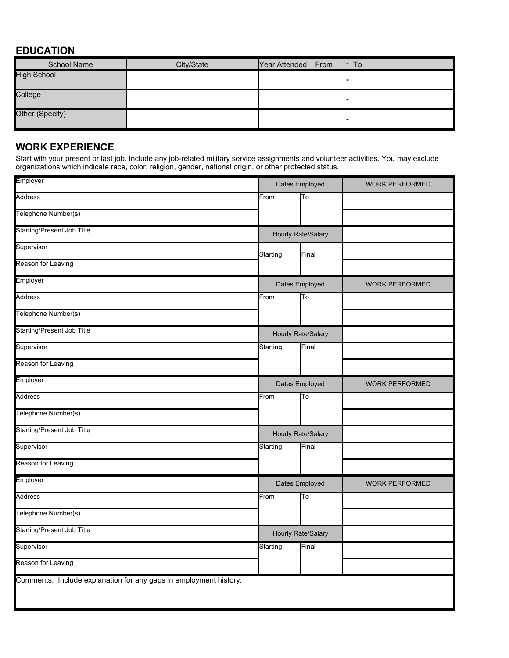## **EDUCATION**

| School Name        | City/State | Year Attended From<br>$-$ To |
|--------------------|------------|------------------------------|
| <b>High School</b> |            | ۰                            |
| College            |            | ۰                            |
| Other (Specify)    |            | ٠                            |

## **WORK EXPERIENCE**

Start with your present or last job. Include any job-related military service assignments and volunteer activities. You may exclude organizations which indicate race, color, religion, gender, national origin, or other protected status.

| Employer                                                          | Dates Employed            |       | <b>WORK PERFORMED</b> |
|-------------------------------------------------------------------|---------------------------|-------|-----------------------|
| <b>Address</b>                                                    | From                      | To    |                       |
| Telephone Number(s)                                               |                           |       |                       |
| <b>Starting/Present Job Title</b>                                 | <b>Hourly Rate/Salary</b> |       |                       |
| Supervisor                                                        | Starting                  | Final |                       |
| Reason for Leaving                                                |                           |       |                       |
| Employer                                                          | Dates Employed            |       | <b>WORK PERFORMED</b> |
| Address                                                           | From                      | To    |                       |
| Telephone Number(s)                                               |                           |       |                       |
| <b>Starting/Present Job Title</b>                                 | Hourly Rate/Salary        |       |                       |
| Supervisor                                                        | Starting                  | Final |                       |
| Reason for Leaving                                                |                           |       |                       |
| Employer                                                          | Dates Employed            |       | <b>WORK PERFORMED</b> |
| Address                                                           | From                      | To    |                       |
| Telephone Number(s)                                               |                           |       |                       |
| <b>Starting/Present Job Title</b>                                 | <b>Hourly Rate/Salary</b> |       |                       |
| Supervisor                                                        | Starting                  | Final |                       |
| Reason for Leaving                                                |                           |       |                       |
| Employer                                                          | Dates Employed            |       | <b>WORK PERFORMED</b> |
| <b>Address</b>                                                    | From                      | To    |                       |
| Telephone Number(s)                                               |                           |       |                       |
| <b>Starting/Present Job Title</b>                                 | Hourly Rate/Salary        |       |                       |
| Supervisor                                                        | Starting                  | Final |                       |
| Reason for Leaving                                                |                           |       |                       |
| Comments: Include explanation for any gaps in employment history. |                           |       |                       |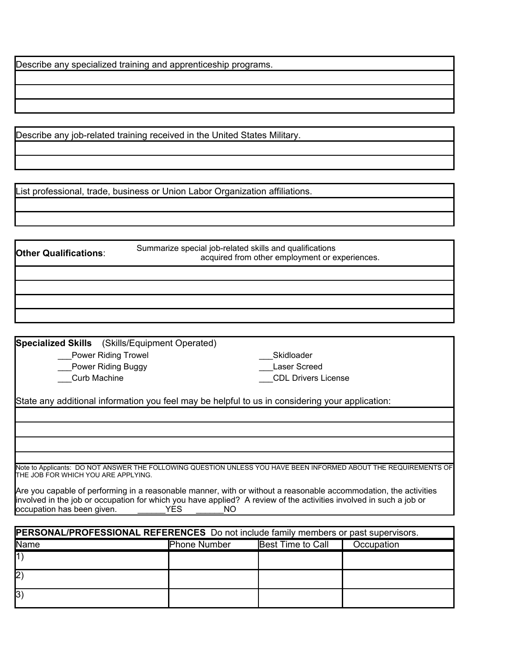Describe any specialized training and apprenticeship programs.

Describe any job-related training received in the United States Military.

ist professional, trade, business or Union Labor Organization affiliations.

**Other Qualifications**: Summarize special job-related skills and qualifications acquired from other employment or experiences.

**Specialized Skills** (Skills/Equipment Operated)

Power Riding Trowel

Power Riding Buggy **Exercise Screed** Exercise Controllery And Tasser Screed **Curb Machine CDL Drivers License** Skidloader

State any additional information you feel may be helpful to us in considering your application:

Note to Applicants: DO NOT ANSWER THE FOLLOWING QUESTION UNLESS YOU HAVE BEEN INFORMED ABOUT THE REQUIREMENTS OF THE JOB FOR WHICH YOU ARE APPLYING.

Are you capable of performing in a reasonable manner, with or without a reasonable accommodation, the activities involved in the job or occupation for which you have applied? A review of the activities involved in such a job or occupation has been given. The SNC YES THO

| <b>PERSONAL/PROFESSIONAL REFERENCES</b> Do not include family members or past supervisors. |                     |                          |            |
|--------------------------------------------------------------------------------------------|---------------------|--------------------------|------------|
| <b>I</b> Name                                                                              | <b>Phone Number</b> | <b>Best Time to Call</b> | Occupation |
|                                                                                            |                     |                          |            |
| 2                                                                                          |                     |                          |            |
| 3)                                                                                         |                     |                          |            |